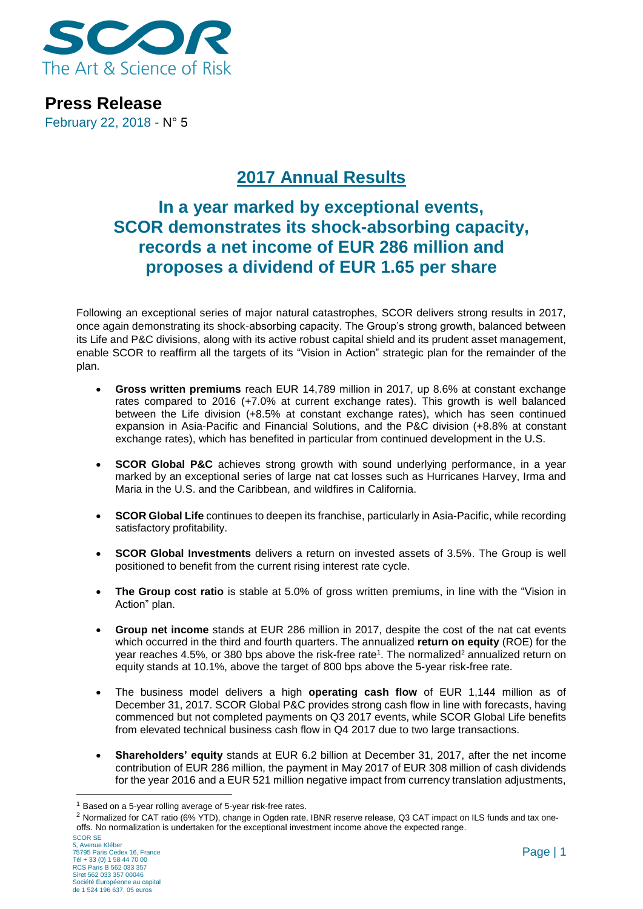

**Press Release** February 22, 2018 - N° 5

# **2017 Annual Results**

## **In a year marked by exceptional events, SCOR demonstrates its shock-absorbing capacity, records a net income of EUR 286 million and proposes a dividend of EUR 1.65 per share**

Following an exceptional series of major natural catastrophes, SCOR delivers strong results in 2017, once again demonstrating its shock-absorbing capacity. The Group's strong growth, balanced between its Life and P&C divisions, along with its active robust capital shield and its prudent asset management, enable SCOR to reaffirm all the targets of its "Vision in Action" strategic plan for the remainder of the plan.

- **Gross written premiums** reach EUR 14,789 million in 2017, up 8.6% at constant exchange rates compared to 2016 (+7.0% at current exchange rates). This growth is well balanced between the Life division (+8.5% at constant exchange rates), which has seen continued expansion in Asia-Pacific and Financial Solutions, and the P&C division (+8.8% at constant exchange rates), which has benefited in particular from continued development in the U.S.
- **SCOR Global P&C** achieves strong growth with sound underlying performance, in a year marked by an exceptional series of large nat cat losses such as Hurricanes Harvey, Irma and Maria in the U.S. and the Caribbean, and wildfires in California.
- **SCOR Global Life** continues to deepen its franchise, particularly in Asia-Pacific, while recording satisfactory profitability.
- **SCOR Global Investments** delivers a return on invested assets of 3.5%. The Group is well positioned to benefit from the current rising interest rate cycle.
- **The Group cost ratio** is stable at 5.0% of gross written premiums, in line with the "Vision in Action" plan.
- **Group net income** stands at EUR 286 million in 2017, despite the cost of the nat cat events which occurred in the third and fourth quarters. The annualized **return on equity** (ROE) for the year reaches 4.5%, or 380 bps above the risk-free rate<sup>1</sup>. The normalized<sup>2</sup> annualized return on equity stands at 10.1%, above the target of 800 bps above the 5-year risk-free rate.
- The business model delivers a high **operating cash flow** of EUR 1,144 million as of December 31, 2017. SCOR Global P&C provides strong cash flow in line with forecasts, having commenced but not completed payments on Q3 2017 events, while SCOR Global Life benefits from elevated technical business cash flow in Q4 2017 due to two large transactions.
- **Shareholders' equity** stands at EUR 6.2 billion at December 31, 2017, after the net income contribution of EUR 286 million, the payment in May 2017 of EUR 308 million of cash dividends for the year 2016 and a EUR 521 million negative impact from currency translation adjustments,

<sup>1</sup> Based on a 5-year rolling average of 5-year risk-free rates.

<sup>&</sup>lt;sup>2</sup> Normalized for CAT ratio (6% YTD), change in Ogden rate, IBNR reserve release, Q3 CAT impact on ILS funds and tax oneoffs. No normalization is undertaken for the exceptional investment income above the expected range.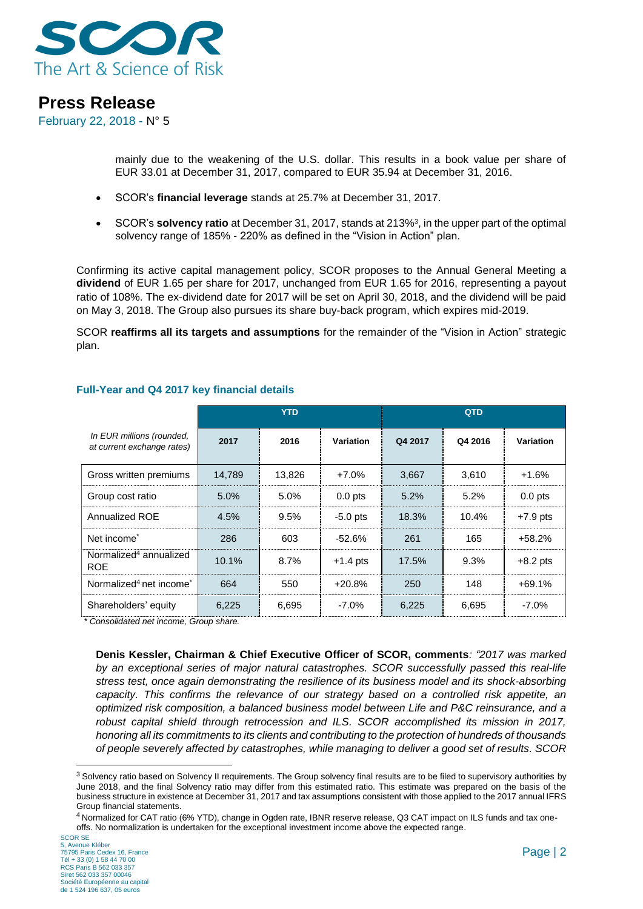

February 22, 2018 - N° 5

mainly due to the weakening of the U.S. dollar. This results in a book value per share of EUR 33.01 at December 31, 2017, compared to EUR 35.94 at December 31, 2016.

- SCOR's **financial leverage** stands at 25.7% at December 31, 2017.
- SCOR's **solvency ratio** at December 31, 2017, stands at 213%<sup>3</sup> , in the upper part of the optimal solvency range of 185% - 220% as defined in the "Vision in Action" plan.

Confirming its active capital management policy, SCOR proposes to the Annual General Meeting a **dividend** of EUR 1.65 per share for 2017, unchanged from EUR 1.65 for 2016, representing a payout ratio of 108%. The ex-dividend date for 2017 will be set on April 30, 2018, and the dividend will be paid on May 3, 2018. The Group also pursues its share buy-back program, which expires mid-2019.

SCOR **reaffirms all its targets and assumptions** for the remainder of the "Vision in Action" strategic plan.

|                                                         | YTD    |        |                  | <b>QTD</b> |         |                  |
|---------------------------------------------------------|--------|--------|------------------|------------|---------|------------------|
| In EUR millions (rounded,<br>at current exchange rates) | 2017   | 2016   | <b>Variation</b> | Q4 2017    | Q4 2016 | <b>Variation</b> |
| Gross written premiums                                  | 14,789 | 13,826 | $+7.0\%$         | 3,667      | 3,610   | $+1.6%$          |
| Group cost ratio                                        | 5.0%   | 5.0%   | $0.0$ pts        | 5.2%       | 5.2%    | $0.0$ pts        |
| Annualized ROE                                          | 4.5%   | 9.5%   | $-5.0$ pts       | 18.3%      | 10.4%   | $+7.9$ pts       |
| Net income <sup>*</sup>                                 | 286    | 603    | $-52.6%$         | 261        | 165     | +58.2%           |
| Normalized <sup>4</sup> annualized<br><b>ROE</b>        | 10.1%  | 8.7%   | $+1.4$ pts       | 17.5%      | 9.3%    | $+8.2$ pts       |
| Normalized <sup>4</sup> net income <sup>*</sup>         | 664    | 550    | $+20.8%$         | 250        | 148     | $+69.1%$         |
| Shareholders' equity                                    | 6,225  | 6,695  | $-7.0\%$         | 6.225      | 6,695   | $-7.0%$          |

## **Full-Year and Q4 2017 key financial details**

 *\* Consolidated net income, Group share.*

**Denis Kessler, Chairman & Chief Executive Officer of SCOR, comments***: "2017 was marked by an exceptional series of major natural catastrophes. SCOR successfully passed this real-life stress test, once again demonstrating the resilience of its business model and its shock-absorbing capacity. This confirms the relevance of our strategy based on a controlled risk appetite, an optimized risk composition, a balanced business model between Life and P&C reinsurance, and a robust capital shield through retrocession and ILS. SCOR accomplished its mission in 2017, honoring all its commitments to its clients and contributing to the protection of hundreds of thousands of people severely affected by catastrophes, while managing to deliver a good set of results. SCOR* 

<sup>&</sup>lt;sup>3</sup> Solvency ratio based on Solvency II requirements. The Group solvency final results are to be filed to supervisory authorities by June 2018, and the final Solvency ratio may differ from this estimated ratio. This estimate was prepared on the basis of the business structure in existence at December 31, 2017 and tax assumptions consistent with those applied to the 2017 annual IFRS Group financial statements.

<sup>4</sup> Normalized for CAT ratio (6% YTD), change in Ogden rate, IBNR reserve release, Q3 CAT impact on ILS funds and tax oneoffs. No normalization is undertaken for the exceptional investment income above the expected range.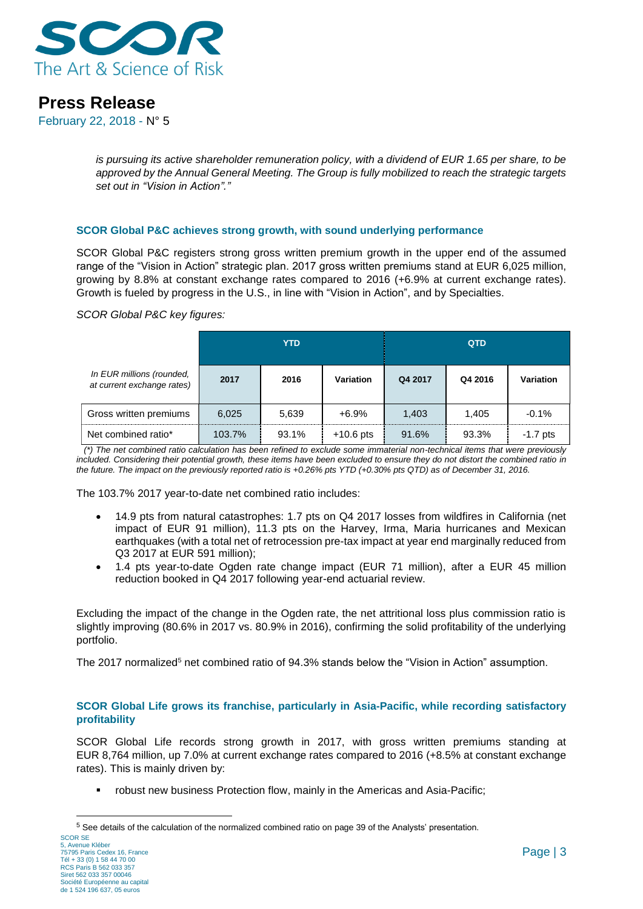

February 22, 2018 - N° 5

*is pursuing its active shareholder remuneration policy, with a dividend of EUR 1.65 per share, to be approved by the Annual General Meeting. The Group is fully mobilized to reach the strategic targets set out in "Vision in Action"."*

## **SCOR Global P&C achieves strong growth, with sound underlying performance**

SCOR Global P&C registers strong gross written premium growth in the upper end of the assumed range of the "Vision in Action" strategic plan. 2017 gross written premiums stand at EUR 6,025 million, growing by 8.8% at constant exchange rates compared to 2016 (+6.9% at current exchange rates). Growth is fueled by progress in the U.S., in line with "Vision in Action", and by Specialties.

*SCOR Global P&C key figures:*

|                                                         |        | <b>YTD</b> |             |         | <b>QTD</b> |                  |
|---------------------------------------------------------|--------|------------|-------------|---------|------------|------------------|
| In EUR millions (rounded,<br>at current exchange rates) | 2017   | 2016       | Variation   | Q4 2017 | Q4 2016    | <b>Variation</b> |
| Gross written premiums                                  | 6.025  | 5,639      | $+6.9%$     | 1.403   | 1.405      | $-0.1%$          |
| Net combined ratio*                                     | 103.7% | 93.1%      | $+10.6$ pts | 91.6%   | 93.3%      | $-1.7$ pts       |

 *(\*) The net combined ratio calculation has been refined to exclude some immaterial non-technical items that were previously*  included. Considering their potential growth, these items have been excluded to ensure they do not distort the combined ratio in *the future. The impact on the previously reported ratio is +0.26% pts YTD (+0.30% pts QTD) as of December 31, 2016.*

The 103.7% 2017 year-to-date net combined ratio includes:

- 14.9 pts from natural catastrophes: 1.7 pts on Q4 2017 losses from wildfires in California (net impact of EUR 91 million), 11.3 pts on the Harvey, Irma, Maria hurricanes and Mexican earthquakes (with a total net of retrocession pre-tax impact at year end marginally reduced from Q3 2017 at EUR 591 million);
- 1.4 pts year-to-date Ogden rate change impact (EUR 71 million), after a EUR 45 million reduction booked in Q4 2017 following year-end actuarial review.

Excluding the impact of the change in the Ogden rate, the net attritional loss plus commission ratio is slightly improving (80.6% in 2017 vs. 80.9% in 2016), confirming the solid profitability of the underlying portfolio.

The 2017 normalized<sup>5</sup> net combined ratio of 94.3% stands below the "Vision in Action" assumption.

## **SCOR Global Life grows its franchise, particularly in Asia-Pacific, while recording satisfactory profitability**

SCOR Global Life records strong growth in 2017, with gross written premiums standing at EUR 8,764 million, up 7.0% at current exchange rates compared to 2016 (+8.5% at constant exchange rates). This is mainly driven by:

robust new business Protection flow, mainly in the Americas and Asia-Pacific;

<sup>5</sup> See details of the calculation of the normalized combined ratio on page 39 of the Analysts' presentation.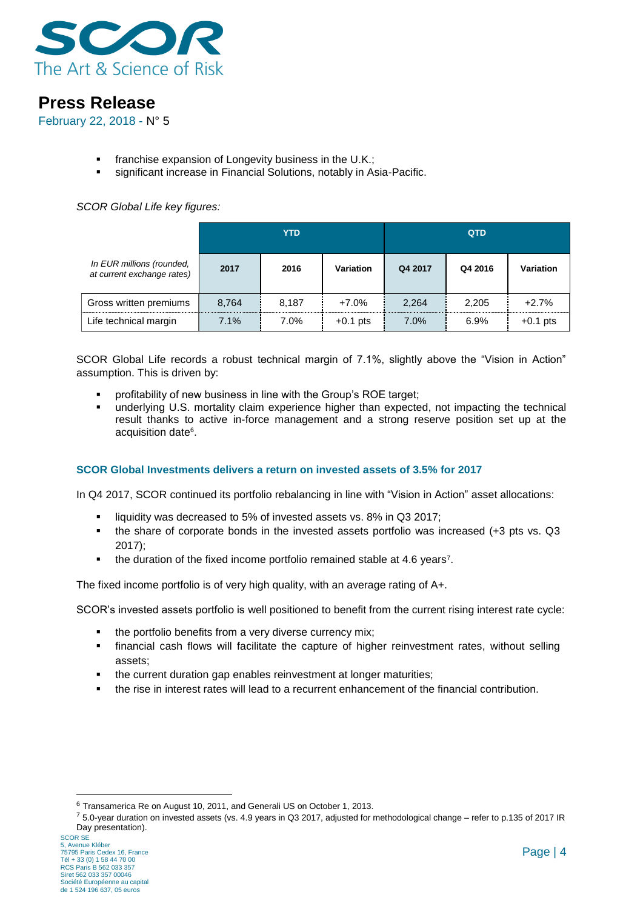

February 22, 2018 - N° 5

- **franchise expansion of Longevity business in the U.K.;**
- significant increase in Financial Solutions, notably in Asia-Pacific.

## *SCOR Global Life key figures:*

|                                                         | YTD   |       |            | <b>QTD</b> |         |            |
|---------------------------------------------------------|-------|-------|------------|------------|---------|------------|
| In EUR millions (rounded,<br>at current exchange rates) | 2017  | 2016  | Variation  | Q4 2017    | Q4 2016 | Variation  |
| Gross written premiums                                  | 8.764 | 8,187 | $+7.0%$    | 2,264      | 2,205   | $+2.7%$    |
| Life technical margin                                   | 7.1%  | 7.0%  | $+0.1$ pts | 7.0%       | 6.9%    | $+0.1$ pts |

SCOR Global Life records a robust technical margin of 7.1%, slightly above the "Vision in Action" assumption. This is driven by:

- **•** profitability of new business in line with the Group's ROE target;
- **underlying U.S. mortality claim experience higher than expected, not impacting the technical** result thanks to active in-force management and a strong reserve position set up at the acquisition date<sup>6</sup>.

## **SCOR Global Investments delivers a return on invested assets of 3.5% for 2017**

In Q4 2017, SCOR continued its portfolio rebalancing in line with "Vision in Action" asset allocations:

- **I** liquidity was decreased to 5% of invested assets vs. 8% in Q3 2017;
- $\bullet$  the share of corporate bonds in the invested assets portfolio was increased (+3 pts vs. Q3 2017);
- $\blacksquare$  the duration of the fixed income portfolio remained stable at 4.6 years<sup>7</sup>.

The fixed income portfolio is of very high quality, with an average rating of A+.

SCOR's invested assets portfolio is well positioned to benefit from the current rising interest rate cycle:

- the portfolio benefits from a very diverse currency mix;
- financial cash flows will facilitate the capture of higher reinvestment rates, without selling assets;
- the current duration gap enables reinvestment at longer maturities;
- the rise in interest rates will lead to a recurrent enhancement of the financial contribution.

<sup>6</sup> Transamerica Re on August 10, 2011, and Generali US on October 1, 2013.

<sup>7</sup> 5.0-year duration on invested assets (vs. 4.9 years in Q3 2017, adjusted for methodological change – refer to p.135 of 2017 IR Day presentation).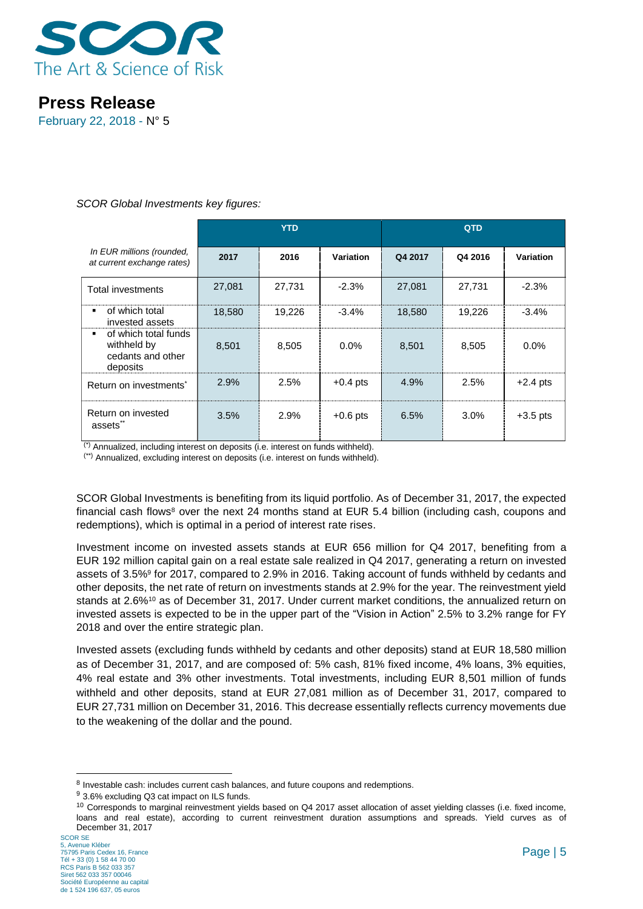

February 22, 2018 - N° 5

## *SCOR Global Investments key figures:*

|                                                                            | <b>YTD</b> |        |            | QTD     |         |                  |
|----------------------------------------------------------------------------|------------|--------|------------|---------|---------|------------------|
| In EUR millions (rounded,<br>at current exchange rates)                    | 2017       | 2016   | Variation  | Q4 2017 | Q4 2016 | <b>Variation</b> |
| <b>Total investments</b>                                                   | 27,081     | 27,731 | $-2.3%$    | 27,081  | 27,731  | $-2.3%$          |
| of which total<br>invested assets                                          | 18,580     | 19,226 | $-3.4%$    | 18.580  | 19,226  | $-3.4%$          |
| of which total funds<br>ж.<br>withheld by<br>cedants and other<br>deposits | 8,501      | 8,505  | $0.0\%$    | 8,501   | 8,505   | 0.0%             |
| Return on investments <sup>*</sup>                                         | 2.9%       | 2.5%   | $+0.4$ pts | 4.9%    | 2.5%    | $+2.4$ pts       |
| Return on invested<br>assets <sup>**</sup>                                 | 3.5%       | 2.9%   | $+0.6$ pts | 6.5%    | 3.0%    | $+3.5$ pts       |

(\*) Annualized, including interest on deposits (i.e. interest on funds withheld).

(\*\*) Annualized, excluding interest on deposits (i.e. interest on funds withheld).

SCOR Global Investments is benefiting from its liquid portfolio. As of December 31, 2017, the expected financial cash flows<sup>8</sup> over the next 24 months stand at EUR 5.4 billion (including cash, coupons and redemptions), which is optimal in a period of interest rate rises.

Investment income on invested assets stands at EUR 656 million for Q4 2017, benefiting from a EUR 192 million capital gain on a real estate sale realized in Q4 2017, generating a return on invested assets of 3.5%<sup>9</sup> for 2017, compared to 2.9% in 2016. Taking account of funds withheld by cedants and other deposits, the net rate of return on investments stands at 2.9% for the year. The reinvestment yield stands at 2.6%<sup>10</sup> as of December 31, 2017. Under current market conditions, the annualized return on invested assets is expected to be in the upper part of the "Vision in Action" 2.5% to 3.2% range for FY 2018 and over the entire strategic plan.

Invested assets (excluding funds withheld by cedants and other deposits) stand at EUR 18,580 million as of December 31, 2017, and are composed of: 5% cash, 81% fixed income, 4% loans, 3% equities, 4% real estate and 3% other investments. Total investments, including EUR 8,501 million of funds withheld and other deposits, stand at EUR 27,081 million as of December 31, 2017, compared to EUR 27,731 million on December 31, 2016. This decrease essentially reflects currency movements due to the weakening of the dollar and the pound.

-

<sup>&</sup>lt;sup>8</sup> Investable cash: includes current cash balances, and future coupons and redemptions.

<sup>9</sup> 3.6% excluding Q3 cat impact on ILS funds.

<sup>&</sup>lt;sup>10</sup> Corresponds to marginal reinvestment yields based on Q4 2017 asset allocation of asset yielding classes (i.e. fixed income, loans and real estate), according to current reinvestment duration assumptions and spreads. Yield curves as of December 31, 2017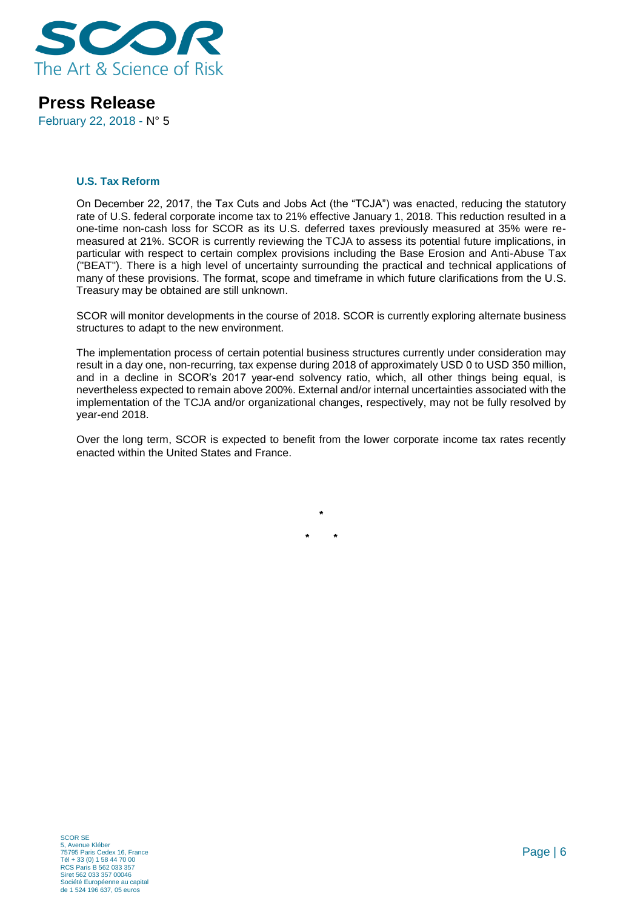

February 22, 2018 - N° 5

### **U.S. Tax Reform**

On December 22, 2017, the Tax Cuts and Jobs Act (the "TCJA") was enacted, reducing the statutory rate of U.S. federal corporate income tax to 21% effective January 1, 2018. This reduction resulted in a one-time non-cash loss for SCOR as its U.S. deferred taxes previously measured at 35% were remeasured at 21%. SCOR is currently reviewing the TCJA to assess its potential future implications, in particular with respect to certain complex provisions including the Base Erosion and Anti-Abuse Tax ("BEAT"). There is a high level of uncertainty surrounding the practical and technical applications of many of these provisions. The format, scope and timeframe in which future clarifications from the U.S. Treasury may be obtained are still unknown.

SCOR will monitor developments in the course of 2018. SCOR is currently exploring alternate business structures to adapt to the new environment.

The implementation process of certain potential business structures currently under consideration may result in a day one, non-recurring, tax expense during 2018 of approximately USD 0 to USD 350 million, and in a decline in SCOR's 2017 year-end solvency ratio, which, all other things being equal, is nevertheless expected to remain above 200%. External and/or internal uncertainties associated with the implementation of the TCJA and/or organizational changes, respectively, may not be fully resolved by year-end 2018.

Over the long term, SCOR is expected to benefit from the lower corporate income tax rates recently enacted within the United States and France.

**\***

**\* \***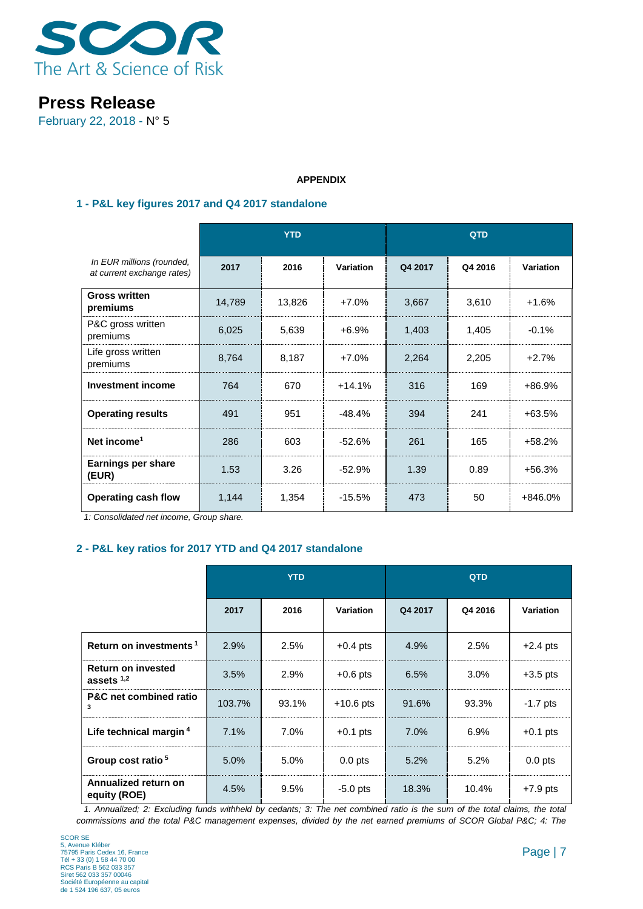

February 22, 2018 - N° 5

### **APPENDIX**

## **1 - P&L key figures 2017 and Q4 2017 standalone**

|                                                         | <b>YTD</b> |        |           | <b>QTD</b> |         |                  |
|---------------------------------------------------------|------------|--------|-----------|------------|---------|------------------|
| In EUR millions (rounded,<br>at current exchange rates) | 2017       | 2016   | Variation | Q4 2017    | Q4 2016 | <b>Variation</b> |
| <b>Gross written</b><br>premiums                        | 14,789     | 13,826 | $+7.0%$   | 3,667      | 3,610   | $+1.6%$          |
| P&C gross written<br>premiums                           | 6,025      | 5,639  | $+6.9%$   | 1,403      | 1,405   | $-0.1%$          |
| Life gross written<br>premiums                          | 8,764      | 8,187  | $+7.0%$   | 2,264      | 2,205   | $+2.7%$          |
| <b>Investment income</b>                                | 764        | 670    | $+14.1%$  | 316        | 169     | +86.9%           |
| <b>Operating results</b>                                | 491        | 951    | $-48.4%$  | 394        | 241     | $+63.5%$         |
| Net income <sup>1</sup>                                 | 286        | 603    | $-52.6%$  | 261        | 165     | $+58.2%$         |
| <b>Earnings per share</b><br>(EUR)                      | 1.53       | 3.26   | $-52.9%$  | 1.39       | 0.89    | $+56.3%$         |
| <b>Operating cash flow</b>                              | 1,144      | 1,354  | $-15.5%$  | 473        | 50      | +846.0%          |

 *1: Consolidated net income, Group share.*

## **2 - P&L key ratios for 2017 YTD and Q4 2017 standalone**

|                                           | <b>YTD</b> |       |             | QTD     |         |                  |
|-------------------------------------------|------------|-------|-------------|---------|---------|------------------|
|                                           | 2017       | 2016  | Variation   | Q4 2017 | Q4 2016 | <b>Variation</b> |
| Return on investments <sup>1</sup>        | 2.9%       | 2.5%  | $+0.4$ pts  | 4.9%    | 2.5%    | $+2.4$ pts       |
| <b>Return on invested</b><br>assets $1,2$ | 3.5%       | 2.9%  | $+0.6$ pts  | 6.5%    | $3.0\%$ | $+3.5$ pts       |
| <b>P&amp;C</b> net combined ratio<br>3    | 103.7%     | 93.1% | $+10.6$ pts | 91.6%   | 93.3%   | $-1.7$ pts       |
| Life technical margin <sup>4</sup>        | 7.1%       | 7.0%  | $+0.1$ pts  | 7.0%    | 6.9%    | $+0.1$ pts       |
| Group cost ratio <sup>5</sup>             | 5.0%       | 5.0%  | $0.0$ pts   | 5.2%    | 5.2%    | $0.0$ pts        |
| Annualized return on<br>equity (ROE)      | 4.5%       | 9.5%  | $-5.0$ pts  | 18.3%   | 10.4%   | $+7.9$ pts       |

 *1. Annualized; 2: Excluding funds withheld by cedants; 3: The net combined ratio is the sum of the total claims, the total commissions and the total P&C management expenses, divided by the net earned premiums of SCOR Global P&C; 4: The*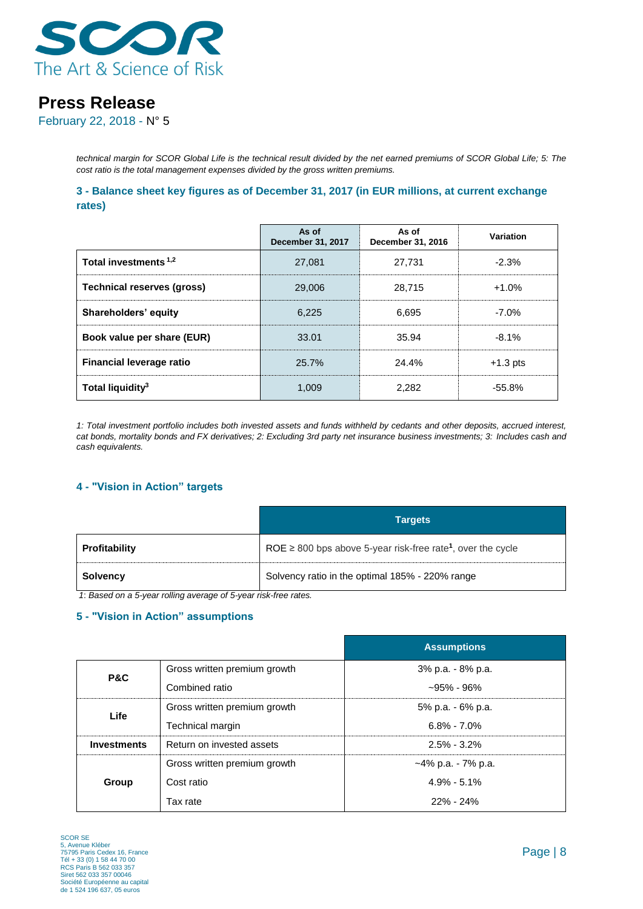

February 22, 2018 - N° 5

*technical margin for SCOR Global Life is the technical result divided by the net earned premiums of SCOR Global Life; 5: The cost ratio is the total management expenses divided by the gross written premiums.* 

**3 - Balance sheet key figures as of December 31, 2017 (in EUR millions, at current exchange rates)**

|                                  | As of<br>December 31, 2017 | As of<br>December 31, 2016 | Variation  |
|----------------------------------|----------------------------|----------------------------|------------|
| Total investments <sup>1,2</sup> | 27.081                     | 27.731                     | $-2.3%$    |
| Technical reserves (gross)       | 29,006                     | 28.715                     | $+1.0%$    |
| Shareholders' equity             | 6.225                      | 6.695                      | $-7.0%$    |
| Book value per share (EUR)       | 33.01                      | 35.94                      | $-8.1%$    |
| <b>Financial leverage ratio</b>  | 25.7%                      | 24.4%                      | $+1.3$ pts |
| Total liquidity <sup>3</sup>     | 1.009                      | 2.282                      | $-55.8\%$  |

*1: Total investment portfolio includes both invested assets and funds withheld by cedants and other deposits, accrued interest, cat bonds, mortality bonds and FX derivatives; 2: Excluding 3rd party net insurance business investments; 3: Includes cash and cash equivalents.*

## **4 - "Vision in Action" targets**

|               | <b>Targets</b>                                                               |
|---------------|------------------------------------------------------------------------------|
| Profitability | ROE $\geq$ 800 bps above 5-year risk-free rate <sup>1</sup> , over the cycle |
| Solvency      | Solvency ratio in the optimal 185% - 220% range                              |

*1*: *Based on a 5-year rolling average of 5-year risk-free rates.*

## **5 - "Vision in Action" assumptions**

|                    |                              | <b>Assumptions</b>     |
|--------------------|------------------------------|------------------------|
| <b>P&amp;C</b>     | Gross written premium growth | 3% p.a. - 8% p.a.      |
|                    | Combined ratio               | $-95\% - 96\%$         |
| Life               | Gross written premium growth | 5% p.a. - 6% p.a.      |
|                    | Technical margin             | $6.8\% - 7.0\%$        |
| <b>Investments</b> | Return on invested assets    | $2.5\% - 3.2\%$        |
|                    | Gross written premium growth | $~14\%$ p.a. - 7% p.a. |
| Group              | Cost ratio                   | $4.9\% - 5.1\%$        |
|                    | Tax rate                     | $22\% - 24\%$          |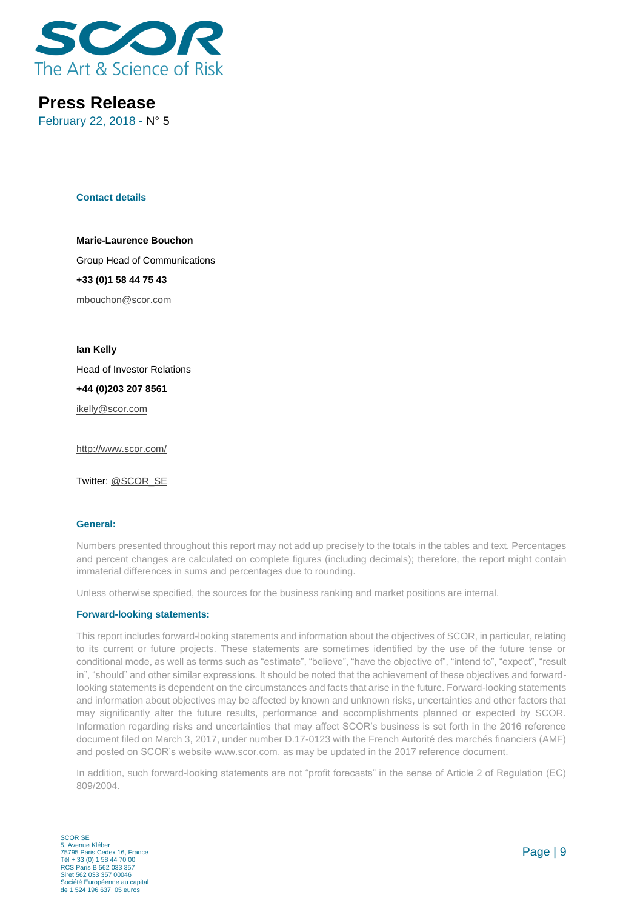

February 22, 2018 - N° 5

#### **Contact details**

**Marie-Laurence Bouchon** Group Head of Communications **+33 (0)1 58 44 75 43** [mbouchon@scor.com](mailto:mbouchon@scor.com)

**Ian Kelly**

Head of Investor Relations

#### **+44 (0)203 207 8561**

[ikelly@scor.com](mailto:ikelly@scor.com)

[http://www.scor.com/](http://www.scor.com/en/)

Twitter: [@SCOR\\_SE](https://twitter.com/SCOR_SE)

#### **General:**

Numbers presented throughout this report may not add up precisely to the totals in the tables and text. Percentages and percent changes are calculated on complete figures (including decimals); therefore, the report might contain immaterial differences in sums and percentages due to rounding.

Unless otherwise specified, the sources for the business ranking and market positions are internal.

#### **Forward-looking statements:**

This report includes forward-looking statements and information about the objectives of SCOR, in particular, relating to its current or future projects. These statements are sometimes identified by the use of the future tense or conditional mode, as well as terms such as "estimate", "believe", "have the objective of", "intend to", "expect", "result in", "should" and other similar expressions. It should be noted that the achievement of these objectives and forwardlooking statements is dependent on the circumstances and facts that arise in the future. Forward-looking statements and information about objectives may be affected by known and unknown risks, uncertainties and other factors that may significantly alter the future results, performance and accomplishments planned or expected by SCOR. Information regarding risks and uncertainties that may affect SCOR's business is set forth in the 2016 reference document filed on March 3, 2017, under number D.17-0123 with the French Autorité des marchés financiers (AMF) and posted on SCOR's website www.scor.com, as may be updated in the 2017 reference document.

In addition, such forward-looking statements are not "profit forecasts" in the sense of Article 2 of Regulation (EC) 809/2004.